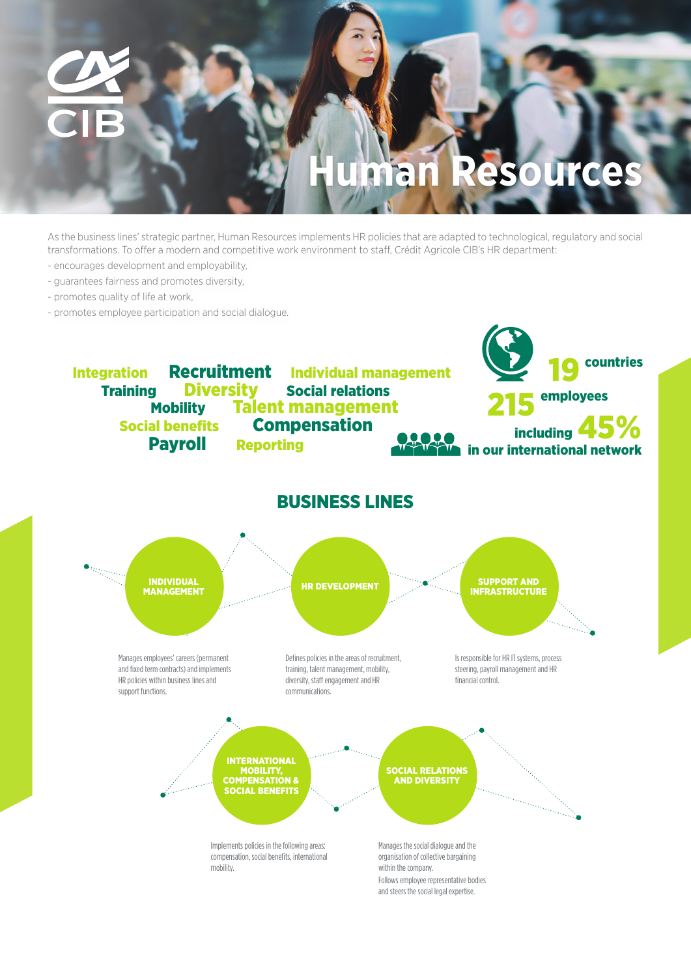

As the business lines' strategic partner, Human Resources implements HR policies that are adapted to technological, regulatory and social transformations. To offer a modern and competitive work environment to staff, Crédit Agricole CIB's HR department:

- encourages development and employability,
- guarantees fairness and promotes diversity,
- promotes quality of life at work,
- promotes employee participation and social dialogue.